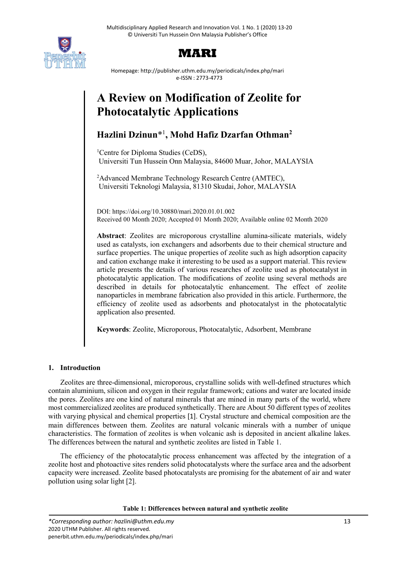

# **MARI**

Homepage: http://publisher.uthm.edu.my/periodicals/index.php/mari e-ISSN : 2773-4773

# **A Review on Modification of Zeolite for Photocatalytic Applications**

## **Hazlini Dzinun**\*1 **, Mohd Hafiz Dzarfan Othman2**

<sup>1</sup>Centre for Diploma Studies (CeDS), Universiti Tun Hussein Onn Malaysia, 84600 Muar, Johor, MALAYSIA

<sup>2</sup>Advanced Membrane Technology Research Centre (AMTEC), Universiti Teknologi Malaysia, 81310 Skudai, Johor, MALAYSIA

DOI: https://doi.org/10.30880/mari.2020.01.01.002 Received 00 Month 2020; Accepted 01 Month 2020; Available online 02 Month 2020

**Abstract**: Zeolites are microporous crystalline alumina-silicate materials, widely used as catalysts, ion exchangers and adsorbents due to their chemical structure and surface properties. The unique properties of zeolite such as high adsorption capacity and cation exchange make it interesting to be used as a support material. This review article presents the details of various researches of zeolite used as photocatalyst in photocatalytic application. The modifications of zeolite using several methods are described in details for photocatalytic enhancement. The effect of zeolite nanoparticles in membrane fabrication also provided in this article. Furthermore, the efficiency of zeolite used as adsorbents and photocatalyst in the photocatalytic application also presented.

**Keywords**: Zeolite, Microporous, Photocatalytic, Adsorbent, Membrane

## **1. Introduction**

Zeolites are three-dimensional, microporous, crystalline solids with well-defined structures which contain aluminium, silicon and oxygen in their regular framework; cations and water are located inside the pores. Zeolites are one kind of natural minerals that are mined in many parts of the world, where most commercialized zeolites are produced synthetically. There are About 50 different types of zeolites with varying physical and chemical properties [1]. Crystal structure and chemical composition are the main differences between them. Zeolites are natural volcanic minerals with a number of unique characteristics. The formation of zeolites is when volcanic ash is deposited in ancient alkaline lakes. The differences between the natural and synthetic zeolites are listed in Table 1.

The efficiency of the photocatalytic process enhancement was affected by the integration of a zeolite host and photoactive sites renders solid photocatalysts where the surface area and the adsorbent capacity were increased. Zeolite based photocatalysts are promising for the abatement of air and water pollution using solar light [2].

**Table 1: Differences between natural and synthetic zeolite**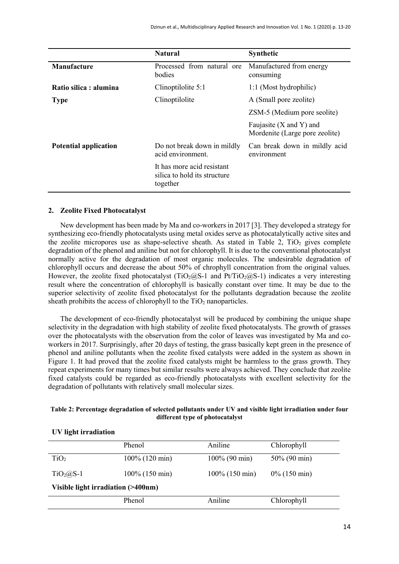|                              | <b>Natural</b>                                                         | <b>Synthetic</b>                                              |  |
|------------------------------|------------------------------------------------------------------------|---------------------------------------------------------------|--|
| <b>Manufacture</b>           | Processed from natural ore<br>bodies                                   | Manufactured from energy<br>consuming                         |  |
| Ratio silica : alumina       | Clinoptilolite 5:1                                                     | 1:1 (Most hydrophilic)                                        |  |
| <b>Type</b>                  | Clinoptilolite                                                         | A (Small pore zeolite)                                        |  |
|                              |                                                                        | ZSM-5 (Medium pore seolite)                                   |  |
|                              |                                                                        | Faujasite $(X$ and $Y)$ and<br>Mordenite (Large pore zeolite) |  |
| <b>Potential application</b> | Do not break down in mildly<br>acid environment.                       | Can break down in mildly acid<br>environment                  |  |
|                              | It has more acid resistant<br>silica to hold its structure<br>together |                                                               |  |

#### **2. Zeolite Fixed Photocatalyst**

New development has been made by Ma and co-workers in 2017 [3]. They developed a strategy for synthesizing eco-friendly photocatalysts using metal oxides serve as photocatalytically active sites and the zeolite micropores use as shape-selective sheath. As stated in Table 2,  $TiO<sub>2</sub>$  gives complete degradation of the phenol and aniline but not for chlorophyll. It is due to the conventional photocatalyst normally active for the degradation of most organic molecules. The undesirable degradation of chlorophyll occurs and decrease the about 50% of chrophyll concentration from the original values. However, the zeolite fixed photocatalyst (TiO<sub>2</sub>@S-1 and Pt/TiO<sub>2</sub>@S-1) indicates a very interesting result where the concentration of chlorophyll is basically constant over time. It may be due to the superior selectivity of zeolite fixed photocatalyst for the pollutants degradation because the zeolite sheath prohibits the access of chlorophyll to the  $TiO<sub>2</sub>$  nanoparticles.

The development of eco-friendly photocatalyst will be produced by combining the unique shape selectivity in the degradation with high stability of zeolite fixed photocatalysts. The growth of grasses over the photocatalysts with the observation from the color of leaves was investigated by Ma and coworkers in 2017. Surprisingly, after 20 days of testing, the grass basically kept green in the presence of phenol and aniline pollutants when the zeolite fixed catalysts were added in the system as shown in Figure 1. It had proved that the zeolite fixed catalysts might be harmless to the grass growth. They repeat experiments for many times but similar results were always achieved. They conclude that zeolite fixed catalysts could be regarded as eco-friendly photocatalysts with excellent selectivity for the degradation of pollutants with relatively small molecular sizes.

#### **Table 2: Percentage degradation of selected pollutants under UV and visible light irradiation under four different type of photocatalyst**

#### **UV light irradiation**

|                                    | Phenol            | Aniline           | Chlorophyll     |  |  |
|------------------------------------|-------------------|-------------------|-----------------|--|--|
| TiO <sub>2</sub>                   | $100\%$ (120 min) | $100\%$ (90 min)  | $50\%$ (90 min) |  |  |
| $TiO2(a)S-1$                       | $100\%$ (150 min) | $100\%$ (150 min) | $0\%$ (150 min) |  |  |
| Visible light irradiation (>400nm) |                   |                   |                 |  |  |
|                                    | Phenol            | Aniline           | Chlorophyll     |  |  |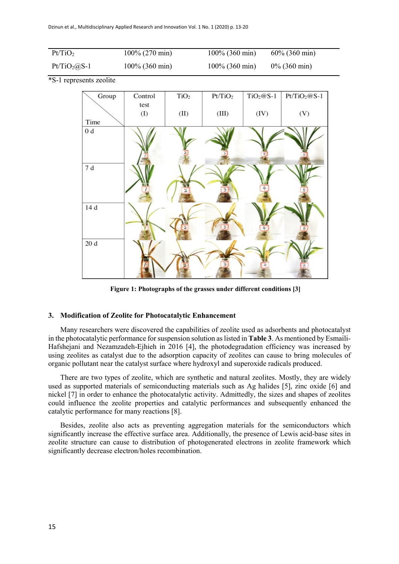| Pt/TiO <sub>2</sub> | $100\%$ (270 min) | $100\%$ (360 min) | $60\%$ (360 min) |
|---------------------|-------------------|-------------------|------------------|
| $Pt/TiO_2(a)S-1$    | $100\%$ (360 min) | $100\%$ (360 min) | $0\%$ (360 min)  |

\*S-1 represents zeolite



**Figure 1: Photographs of the grasses under different conditions [3]**

#### **3. Modification of Zeolite for Photocatalytic Enhancement**

Many researchers were discovered the capabilities of zeolite used as adsorbents and photocatalyst in the photocatalytic performance for suspension solution as listed in **Table 3**. As mentioned by Esmaili-Hafshejani and Nezamzadeh-Ejhieh in 2016 [4], the photodegradation efficiency was increased by using zeolites as catalyst due to the adsorption capacity of zeolites can cause to bring molecules of organic pollutant near the catalyst surface where hydroxyl and superoxide radicals produced.

There are two types of zeolite, which are synthetic and natural zeolites. Mostly, they are widely used as supported materials of semiconducting materials such as Ag halides [5], zinc oxide [6] and nickel [7] in order to enhance the photocatalytic activity. Admittedly, the sizes and shapes of zeolites could influence the zeolite properties and catalytic performances and subsequently enhanced the catalytic performance for many reactions [8].

Besides, zeolite also acts as preventing aggregation materials for the semiconductors which significantly increase the effective surface area. Additionally, the presence of Lewis acid-base sites in zeolite structure can cause to distribution of photogenerated electrons in zeolite framework which significantly decrease electron/holes recombination.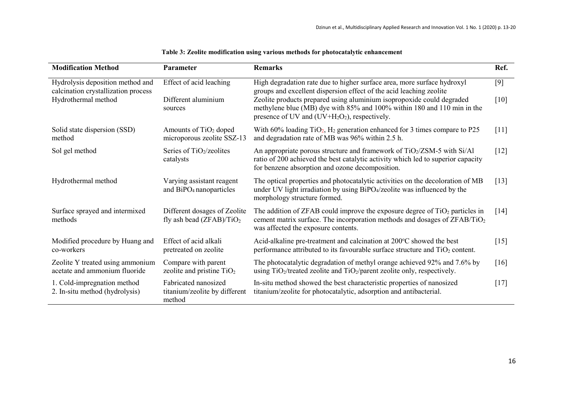| <b>Modification Method</b>                                                                     | Parameter                                                        | <b>Remarks</b>                                                                                                                                                                                                                                                                                                                                         | Ref.               |
|------------------------------------------------------------------------------------------------|------------------------------------------------------------------|--------------------------------------------------------------------------------------------------------------------------------------------------------------------------------------------------------------------------------------------------------------------------------------------------------------------------------------------------------|--------------------|
| Hydrolysis deposition method and<br>calcination crystallization process<br>Hydrothermal method | Effect of acid leaching<br>Different aluminium<br>sources        | High degradation rate due to higher surface area, more surface hydroxyl<br>groups and excellent dispersion effect of the acid leaching zeolite<br>Zeolite products prepared using aluminium isopropoxide could degraded<br>methylene blue (MB) dye with 85% and 100% within 180 and 110 min in the<br>presence of UV and $(UV+H_2O_2)$ , respectively. | $[9]$<br>$[10]$    |
| Solid state dispersion (SSD)<br>method                                                         | Amounts of TiO <sub>2</sub> doped<br>microporous zeolite SSZ-13  | With $60\%$ loading TiO <sub>2</sub> , H <sub>2</sub> generation enhanced for 3 times compare to P25<br>and degradation rate of MB was 96% within 2.5 h.                                                                                                                                                                                               | $[11]$             |
| Sol gel method                                                                                 | Series of TiO <sub>2</sub> /zeolites<br>catalysts                | An appropriate porous structure and framework of TiO2/ZSM-5 with Si/Al<br>ratio of 200 achieved the best catalytic activity which led to superior capacity<br>for benzene absorption and ozone decomposition.                                                                                                                                          | $[12]$             |
| Hydrothermal method                                                                            | Varying assistant reagent<br>and BiPO <sub>4</sub> nanoparticles | The optical properties and photocatalytic activities on the decoloration of MB<br>under UV light irradiation by using BiPO4/zeolite was influenced by the<br>morphology structure formed.                                                                                                                                                              | $[13]$             |
| Surface sprayed and intermixed<br>methods                                                      | Different dosages of Zeolite<br>fly ash bead $(ZFAB)/TiO2$       | The addition of ZFAB could improve the exposure degree of $TiO2$ particles in<br>cement matrix surface. The incorporation methods and dosages of ZFAB/TiO <sub>2</sub><br>was affected the exposure contents.                                                                                                                                          | $\lceil 14 \rceil$ |
| Modified procedure by Huang and<br>co-workers                                                  | Effect of acid alkali<br>pretreated on zeolite                   | Acid-alkaline pre-treatment and calcination at 200°C showed the best<br>performance attributed to its favourable surface structure and $TiO2$ content.                                                                                                                                                                                                 | $[15]$             |
| Zeolite Y treated using ammonium<br>acetate and ammonium fluoride                              | Compare with parent<br>zeolite and pristine $TiO2$               | The photocatalytic degradation of methyl orange achieved 92% and 7.6% by<br>using TiO <sub>2</sub> /treated zeolite and TiO <sub>2</sub> /parent zeolite only, respectively.                                                                                                                                                                           | $\lceil 16 \rceil$ |
| 1. Cold-impregnation method<br>2. In-situ method (hydrolysis)                                  | Fabricated nanosized<br>titanium/zeolite by different<br>method  | In-situ method showed the best characteristic properties of nanosized<br>titanium/zeolite for photocatalytic, adsorption and antibacterial.                                                                                                                                                                                                            | $\lceil 17 \rceil$ |

### **Table 3: Zeolite modification using various methods for photocatalytic enhancement**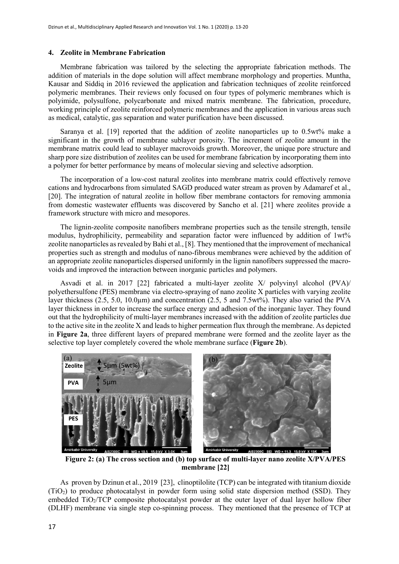#### **4. Zeolite in Membrane Fabrication**

Membrane fabrication was tailored by the selecting the appropriate fabrication methods. The addition of materials in the dope solution will affect membrane morphology and properties. Muntha, Kausar and Siddiq in 2016 reviewed the application and fabrication techniques of zeolite reinforced polymeric membranes. Their reviews only focused on four types of polymeric membranes which is polyimide, polysulfone, polycarbonate and mixed matrix membrane. The fabrication, procedure, working principle of zeolite reinforced polymeric membranes and the application in various areas such as medical, catalytic, gas separation and water purification have been discussed.

Saranya et al. [19] reported that the addition of zeolite nanoparticles up to 0.5wt% make a significant in the growth of membrane sublayer porosity. The increment of zeolite amount in the membrane matrix could lead to sublayer macrovoids growth. Moreover, the unique pore structure and sharp pore size distribution of zeolites can be used for membrane fabrication by incorporating them into a polymer for better performance by means of molecular sieving and selective adsorption.

The incorporation of a low-cost natural zeolites into membrane matrix could effectively remove cations and hydrocarbons from simulated SAGD produced water stream as proven by Adamaref et al., [20]. The integration of natural zeolite in hollow fiber membrane contactors for removing ammonia from domestic wastewater effluents was discovered by Sancho et al. [21] where zeolites provide a framework structure with micro and mesopores.

The lignin-zeolite composite nanofibers membrane properties such as the tensile strength, tensile modulus, hydrophilicity, permeability and separation factor were influenced by addition of 1wt% zeolite nanoparticles as revealed by Bahi et al., [8]. They mentioned that the improvement of mechanical properties such as strength and modulus of nano-fibrous membranes were achieved by the addition of an appropriate zeolite nanoparticles dispersed uniformly in the lignin nanofibers suppressed the macrovoids and improved the interaction between inorganic particles and polymers.

Asvadi et al. in 2017 [22] fabricated a multi-layer zeolite X/ polyvinyl alcohol (PVA)/ polyethersulfone (PES) membrane via electro-spraying of nano zeolite X particles with varying zeolite layer thickness (2.5, 5.0, 10.0µm) and concentration (2.5, 5 and 7.5wt%). They also varied the PVA layer thickness in order to increase the surface energy and adhesion of the inorganic layer. They found out that the hydrophilicity of multi-layer membranes increased with the addition of zeolite particles due to the active site in the zeolite X and leads to higher permeation flux through the membrane. As depicted in **Figure 2a**, three different layers of prepared membrane were formed and the zeolite layer as the selective top layer completely covered the whole membrane surface (**Figure 2b**).



 **Figure 2: (a) The cross section and (b) top surface of multi-layer nano zeolite X/PVA/PES membrane [22]**

As proven by Dzinun et al., 2019 [23], clinoptilolite (TCP) can be integrated with titanium dioxide (TiO2) to produce photocatalyst in powder form using solid state dispersion method (SSD). They embedded TiO<sub>2</sub>/TCP composite photocatalyst powder at the outer layer of dual layer hollow fiber (DLHF) membrane via single step co-spinning process. They mentioned that the presence of TCP at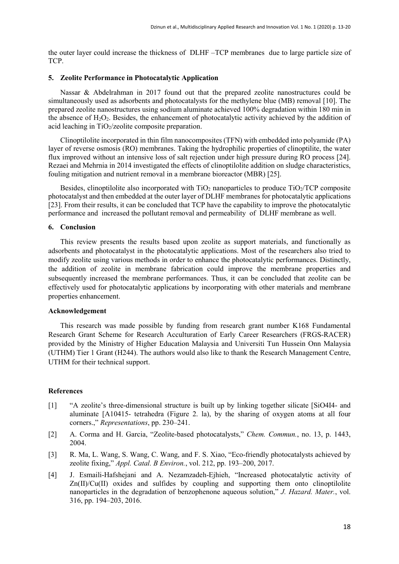the outer layer could increase the thickness of DLHF –TCP membranes due to large particle size of TCP.

#### **5. Zeolite Performance in Photocatalytic Application**

Nassar & Abdelrahman in 2017 found out that the prepared zeolite nanostructures could be simultaneously used as adsorbents and photocatalysts for the methylene blue (MB) removal [10]. The prepared zeolite nanostructures using sodium aluminate achieved 100% degradation within 180 min in the absence of  $H_2O_2$ . Besides, the enhancement of photocatalytic activity achieved by the addition of acid leaching in  $TiO<sub>2</sub>/zeolite$  composite preparation.

Clinoptilolite incorporated in thin film nanocomposites (TFN) with embedded into polyamide (PA) layer of reverse osmosis (RO) membranes. Taking the hydrophilic properties of clinoptilite, the water flux improved without an intensive loss of salt rejection under high pressure during RO process [24]. Rezaei and Mehrnia in 2014 investigated the effects of clinoptilolite addition on sludge characteristics, fouling mitigation and nutrient removal in a membrane bioreactor (MBR) [25].

Besides, clinoptilolite also incorporated with  $TiO<sub>2</sub>$  nanoparticles to produce  $TiO<sub>2</sub>/TCP$  composite photocatalyst and then embedded at the outer layer of DLHF membranes for photocatalytic applications [23]. From their results, it can be concluded that TCP have the capability to improve the photocatalytic performance and increased the pollutant removal and permeability of DLHF membrane as well.

#### **6. Conclusion**

This review presents the results based upon zeolite as support materials, and functionally as adsorbents and photocatalyst in the photocatalytic applications. Most of the researchers also tried to modify zeolite using various methods in order to enhance the photocatalytic performances. Distinctly, the addition of zeolite in membrane fabrication could improve the membrane properties and subsequently increased the membrane performances. Thus, it can be concluded that zeolite can be effectively used for photocatalytic applications by incorporating with other materials and membrane properties enhancement.

#### **Acknowledgement**

This research was made possible by funding from research grant number K168 Fundamental Research Grant Scheme for Research Acculturation of Early Career Researchers (FRGS-RACER) provided by the Ministry of Higher Education Malaysia and Universiti Tun Hussein Onn Malaysia (UTHM) Tier 1 Grant (H244). The authors would also like to thank the Research Management Centre, UTHM for their technical support.

#### **References**

- [1] "A zeolite's three-dimensional structure is built up by linking together silicate [SiO4I4- and aluminate [A10415- tetrahedra (Figure 2. la), by the sharing of oxygen atoms at all four corners.," *Representations*, pp. 230–241.
- [2] A. Corma and H. Garcia, "Zeolite-based photocatalysts," *Chem. Commun.*, no. 13, p. 1443, 2004.
- [3] R. Ma, L. Wang, S. Wang, C. Wang, and F. S. Xiao, "Eco-friendly photocatalysts achieved by zeolite fixing," *Appl. Catal. B Environ.*, vol. 212, pp. 193–200, 2017.
- [4] J. Esmaili-Hafshejani and A. Nezamzadeh-Ejhieh, "Increased photocatalytic activity of Zn(II)/Cu(II) oxides and sulfides by coupling and supporting them onto clinoptilolite nanoparticles in the degradation of benzophenone aqueous solution," *J. Hazard. Mater.*, vol. 316, pp. 194–203, 2016.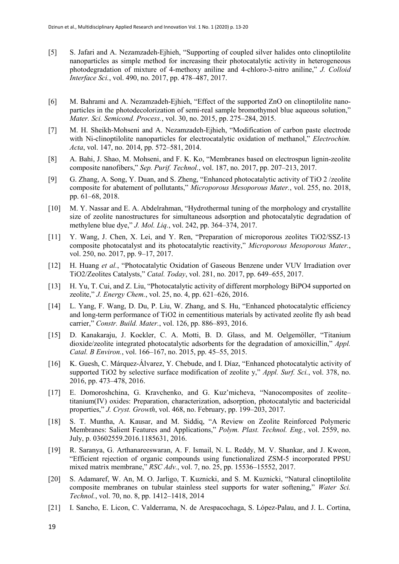- [5] S. Jafari and A. Nezamzadeh-Ejhieh, "Supporting of coupled silver halides onto clinoptilolite nanoparticles as simple method for increasing their photocatalytic activity in heterogeneous photodegradation of mixture of 4-methoxy aniline and 4-chloro-3-nitro aniline," *J. Colloid Interface Sci.*, vol. 490, no. 2017, pp. 478–487, 2017.
- [6] M. Bahrami and A. Nezamzadeh-Ejhieh, "Effect of the supported ZnO on clinoptilolite nanoparticles in the photodecolorization of semi-real sample bromothymol blue aqueous solution," *Mater. Sci. Semicond. Process.*, vol. 30, no. 2015, pp. 275–284, 2015.
- [7] M. H. Sheikh-Mohseni and A. Nezamzadeh-Ejhieh, "Modification of carbon paste electrode with Ni-clinoptilolite nanoparticles for electrocatalytic oxidation of methanol," *Electrochim. Acta*, vol. 147, no. 2014, pp. 572–581, 2014.
- [8] A. Bahi, J. Shao, M. Mohseni, and F. K. Ko, "Membranes based on electrospun lignin-zeolite composite nanofibers," *Sep. Purif. Technol.*, vol. 187, no. 2017, pp. 207–213, 2017.
- [9] G. Zhang, A. Song, Y. Duan, and S. Zheng, "Enhanced photocatalytic activity of TiO 2 /zeolite composite for abatement of pollutants," *Microporous Mesoporous Mater.*, vol. 255, no. 2018, pp. 61–68, 2018.
- [10] M. Y. Nassar and E. A. Abdelrahman, "Hydrothermal tuning of the morphology and crystallite size of zeolite nanostructures for simultaneous adsorption and photocatalytic degradation of methylene blue dye," *J. Mol. Liq.*, vol. 242, pp. 364–374, 2017.
- [11] Y. Wang, J. Chen, X. Lei, and Y. Ren, "Preparation of microporous zeolites TiO2/SSZ-13 composite photocatalyst and its photocatalytic reactivity," *Microporous Mesoporous Mater.*, vol. 250, no. 2017, pp. 9–17, 2017.
- [12] H. Huang *et al.*, "Photocatalytic Oxidation of Gaseous Benzene under VUV Irradiation over TiO2/Zeolites Catalysts," *Catal. Today*, vol. 281, no. 2017, pp. 649–655, 2017.
- [13] H. Yu, T. Cui, and Z. Liu, "Photocatalytic activity of different morphology BiPO4 supported on zeolite," *J. Energy Chem.*, vol. 25, no. 4, pp. 621–626, 2016.
- [14] L. Yang, F. Wang, D. Du, P. Liu, W. Zhang, and S. Hu, "Enhanced photocatalytic efficiency and long-term performance of TiO2 in cementitious materials by activated zeolite fly ash bead carrier," *Constr. Build. Mater.*, vol. 126, pp. 886–893, 2016.
- [15] D. Kanakaraju, J. Kockler, C. A. Motti, B. D. Glass, and M. Oelgemöller, "Titanium dioxide/zeolite integrated photocatalytic adsorbents for the degradation of amoxicillin," *Appl. Catal. B Environ.*, vol. 166–167, no. 2015, pp. 45–55, 2015.
- [16] K. Guesh, C. Márquez-Álvarez, Y. Chebude, and I. Díaz, "Enhanced photocatalytic activity of supported TiO2 by selective surface modification of zeolite y," *Appl. Surf. Sci.*, vol. 378, no. 2016, pp. 473–478, 2016.
- [17] E. Domoroshchina, G. Kravchenko, and G. Kuz'micheva, "Nanocomposites of zeolite– titanium(IV) oxides: Preparation, characterization, adsorption, photocatalytic and bactericidal properties," *J. Cryst. Growth*, vol. 468, no. February, pp. 199–203, 2017.
- [18] S. T. Muntha, A. Kausar, and M. Siddiq, "A Review on Zeolite Reinforced Polymeric Membranes: Salient Features and Applications," *Polym. Plast. Technol. Eng.*, vol. 2559, no. July, p. 03602559.2016.1185631, 2016.
- [19] R. Saranya, G. Arthanareeswaran, A. F. Ismail, N. L. Reddy, M. V. Shankar, and J. Kweon, "Efficient rejection of organic compounds using functionalized ZSM-5 incorporated PPSU mixed matrix membrane," *RSC Adv.*, vol. 7, no. 25, pp. 15536–15552, 2017.
- [20] S. Adamaref, W. An, M. O. Jarligo, T. Kuznicki, and S. M. Kuznicki, "Natural clinoptilolite composite membranes on tubular stainless steel supports for water softening," *Water Sci. Technol.*, vol. 70, no. 8, pp. 1412–1418, 2014
- [21] I. Sancho, E. Licon, C. Valderrama, N. de Arespacochaga, S. López-Palau, and J. L. Cortina,